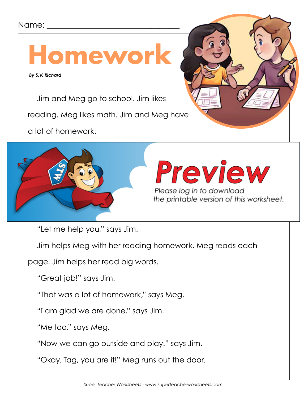## Name: \_



 *By S. V. Richard*

Jim and Meg go to school. Jim likes

reading. Meg likes math. Jim and Meg have

a lot of homework.



Meg helps Jim with his math his math his math his math his more with his math  $\sim$ 

Please log in to download the printable version of this worksheet.

"Let me help you," says Jim.

Jim helps Meg with her reading homework. Meg reads each

page. Jim helps her read big words.

"Great job!" says Jim.

"That was a lot of homework," says Meg.

"I am glad we are done," says Jim.

"Me too," says Meg.

"Now we can go outside and play!" says Jim.

"Okay. Tag, you are it!" Meg runs out the door.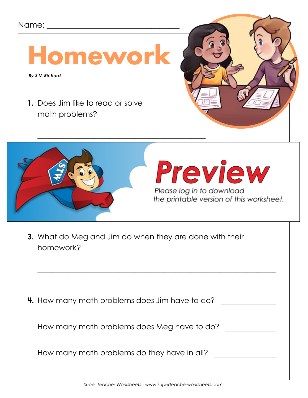